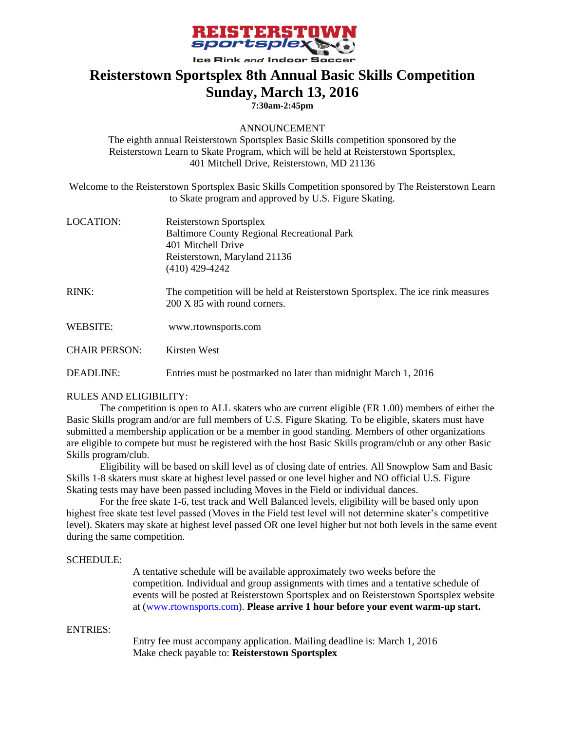

## **Reisterstown Sportsplex 8th Annual Basic Skills Competition Sunday, March 13, 2016**

**7:30am-2:45pm**

### ANNOUNCEMENT

The eighth annual Reisterstown Sportsplex Basic Skills competition sponsored by the Reisterstown Learn to Skate Program, which will be held at Reisterstown Sportsplex, 401 Mitchell Drive, Reisterstown, MD 21136

Welcome to the Reisterstown Sportsplex Basic Skills Competition sponsored by The Reisterstown Learn to Skate program and approved by U.S. Figure Skating.

| LOCATION: | Reisterstown Sportsplex                            |
|-----------|----------------------------------------------------|
|           | <b>Baltimore County Regional Recreational Park</b> |
|           | 401 Mitchell Drive                                 |
|           | Reisterstown, Maryland 21136                       |
|           | $(410)$ 429-4242                                   |
|           |                                                    |

- RINK: The competition will be held at Reisterstown Sportsplex. The ice rink measures 200 X 85 with round corners.
- WEBSITE: www.rtownsports.com

CHAIR PERSON: Kirsten West

DEADLINE: Entries must be postmarked no later than midnight March 1, 2016

### RULES AND ELIGIBILITY:

The competition is open to ALL skaters who are current eligible (ER 1.00) members of either the Basic Skills program and/or are full members of U.S. Figure Skating. To be eligible, skaters must have submitted a membership application or be a member in good standing. Members of other organizations are eligible to compete but must be registered with the host Basic Skills program/club or any other Basic Skills program/club.

Eligibility will be based on skill level as of closing date of entries. All Snowplow Sam and Basic Skills 1-8 skaters must skate at highest level passed or one level higher and NO official U.S. Figure Skating tests may have been passed including Moves in the Field or individual dances.

For the free skate 1-6, test track and Well Balanced levels, eligibility will be based only upon highest free skate test level passed (Moves in the Field test level will not determine skater's competitive level). Skaters may skate at highest level passed OR one level higher but not both levels in the same event during the same competition.

#### SCHEDULE:

A tentative schedule will be available approximately two weeks before the competition. Individual and group assignments with times and a tentative schedule of events will be posted at Reisterstown Sportsplex and on Reisterstown Sportsplex website at [\(www.rtownsports.com\)](http://www.rtownsports.com/). **Please arrive 1 hour before your event warm-up start.**

### ENTRIES:

Entry fee must accompany application. Mailing deadline is: March 1, 2016 Make check payable to: **Reisterstown Sportsplex**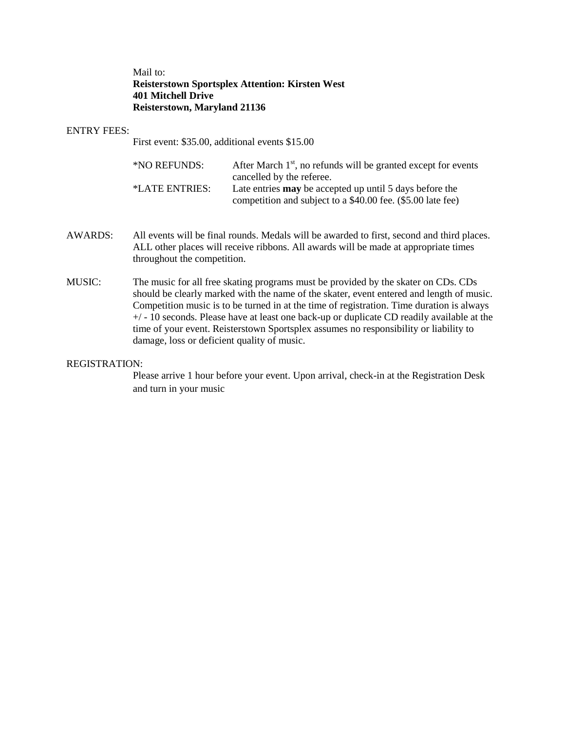Mail to: **Reisterstown Sportsplex Attention: Kirsten West 401 Mitchell Drive Reisterstown, Maryland 21136**

#### ENTRY FEES:

First event: \$35.00, additional events \$15.00

| *NO REFUNDS:   | After March $1st$ , no refunds will be granted except for events |
|----------------|------------------------------------------------------------------|
|                | cancelled by the referee.                                        |
| *LATE ENTRIES: | Late entries <b>may</b> be accepted up until 5 days before the   |
|                | competition and subject to a \$40.00 fee. (\$5.00 late fee)      |

- AWARDS: All events will be final rounds. Medals will be awarded to first, second and third places. ALL other places will receive ribbons. All awards will be made at appropriate times throughout the competition.
- MUSIC: The music for all free skating programs must be provided by the skater on CDs. CDs should be clearly marked with the name of the skater, event entered and length of music. Competition music is to be turned in at the time of registration. Time duration is always +/ - 10 seconds. Please have at least one back-up or duplicate CD readily available at the time of your event. Reisterstown Sportsplex assumes no responsibility or liability to damage, loss or deficient quality of music.

#### REGISTRATION:

Please arrive 1 hour before your event. Upon arrival, check-in at the Registration Desk and turn in your music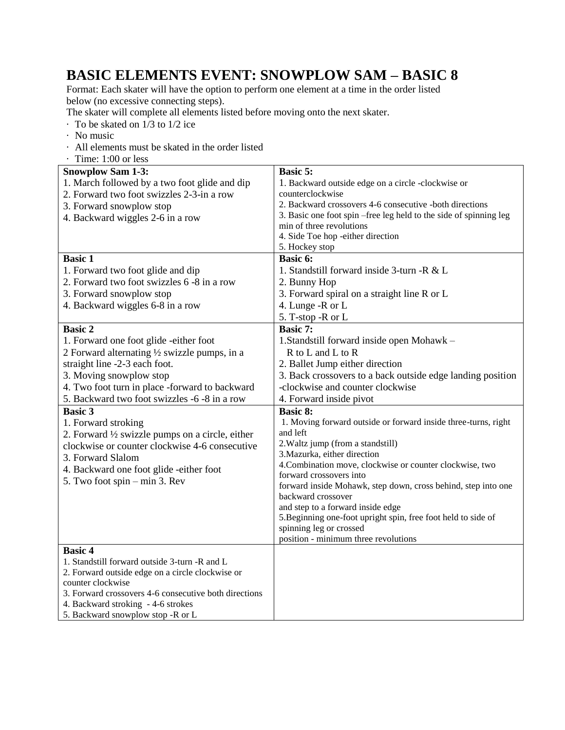# **BASIC ELEMENTS EVENT: SNOWPLOW SAM – BASIC 8**

Format: Each skater will have the option to perform one element at a time in the order listed below (no excessive connecting steps).

The skater will complete all elements listed before moving onto the next skater.

- · To be skated on 1/3 to 1/2 ice
- · No music
- · All elements must be skated in the order listed
- · Time: 1:00 or less

| <b>Snowplow Sam 1-3:</b>                              | <b>Basic 5:</b>                                                                                    |
|-------------------------------------------------------|----------------------------------------------------------------------------------------------------|
| 1. March followed by a two foot glide and dip         | 1. Backward outside edge on a circle -clockwise or                                                 |
| 2. Forward two foot swizzles 2-3-in a row             | counterclockwise                                                                                   |
| 3. Forward snowplow stop                              | 2. Backward crossovers 4-6 consecutive -both directions                                            |
| 4. Backward wiggles 2-6 in a row                      | 3. Basic one foot spin-free leg held to the side of spinning leg                                   |
|                                                       | min of three revolutions                                                                           |
|                                                       | 4. Side Toe hop -either direction                                                                  |
|                                                       | 5. Hockey stop                                                                                     |
| <b>Basic 1</b>                                        | <b>Basic 6:</b>                                                                                    |
| 1. Forward two foot glide and dip                     | 1. Standstill forward inside 3-turn -R & L                                                         |
| 2. Forward two foot swizzles 6 -8 in a row            | 2. Bunny Hop                                                                                       |
| 3. Forward snowplow stop                              | 3. Forward spiral on a straight line R or L                                                        |
| 4. Backward wiggles 6-8 in a row                      | 4. Lunge -R or L                                                                                   |
|                                                       | 5. T-stop -R or L                                                                                  |
| <b>Basic 2</b>                                        | <b>Basic 7:</b>                                                                                    |
| 1. Forward one foot glide -either foot                | 1. Standstill forward inside open Mohawk -                                                         |
| 2 Forward alternating 1/2 swizzle pumps, in a         | R to L and L to R                                                                                  |
| straight line -2-3 each foot.                         | 2. Ballet Jump either direction                                                                    |
| 3. Moving snowplow stop                               | 3. Back crossovers to a back outside edge landing position                                         |
| 4. Two foot turn in place -forward to backward        | -clockwise and counter clockwise                                                                   |
| 5. Backward two foot swizzles -6 -8 in a row          | 4. Forward inside pivot                                                                            |
| <b>Basic 3</b>                                        | <b>Basic 8:</b>                                                                                    |
| 1. Forward stroking                                   | 1. Moving forward outside or forward inside three-turns, right                                     |
| 2. Forward 1/2 swizzle pumps on a circle, either      | and left                                                                                           |
| clockwise or counter clockwise 4-6 consecutive        | 2. Waltz jump (from a standstill)                                                                  |
| 3. Forward Slalom                                     | 3. Mazurka, either direction                                                                       |
| 4. Backward one foot glide -either foot               | 4. Combination move, clockwise or counter clockwise, two                                           |
| 5. Two foot spin – min 3. Rev                         | forward crossovers into                                                                            |
|                                                       | forward inside Mohawk, step down, cross behind, step into one                                      |
|                                                       | backward crossover                                                                                 |
|                                                       | and step to a forward inside edge<br>5. Beginning one-foot upright spin, free foot held to side of |
|                                                       | spinning leg or crossed                                                                            |
|                                                       | position - minimum three revolutions                                                               |
| <b>Basic 4</b>                                        |                                                                                                    |
| 1. Standstill forward outside 3-turn -R and L         |                                                                                                    |
| 2. Forward outside edge on a circle clockwise or      |                                                                                                    |
| counter clockwise                                     |                                                                                                    |
| 3. Forward crossovers 4-6 consecutive both directions |                                                                                                    |
| 4. Backward stroking - 4-6 strokes                    |                                                                                                    |
| 5. Backward snowplow stop -R or L                     |                                                                                                    |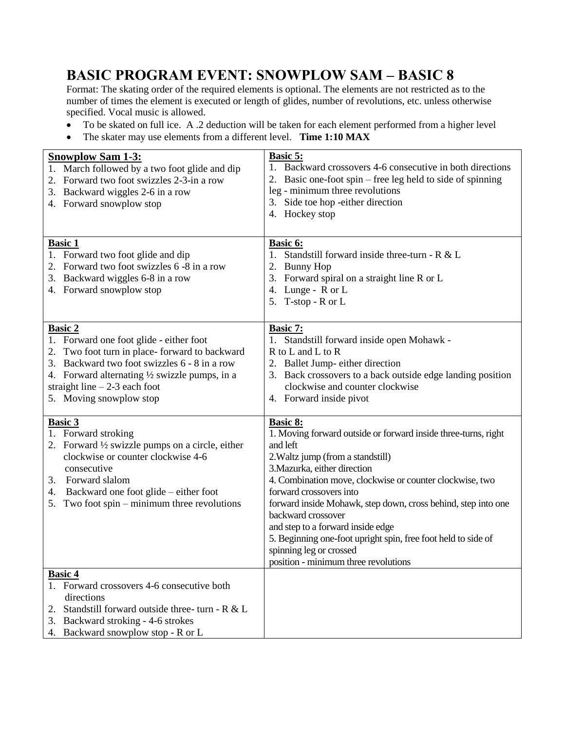# **BASIC PROGRAM EVENT: SNOWPLOW SAM – BASIC 8**

Format: The skating order of the required elements is optional. The elements are not restricted as to the number of times the element is executed or length of glides, number of revolutions, etc. unless otherwise specified. Vocal music is allowed.

- To be skated on full ice. A .2 deduction will be taken for each element performed from a higher level
- The skater may use elements from a different level. **Time 1:10 MAX**

| <b>Snowplow Sam 1-3:</b><br>1. March followed by a two foot glide and dip<br>2. Forward two foot swizzles 2-3-in a row<br>3. Backward wiggles 2-6 in a row<br>4. Forward snowplow stop                                                                                               | Basic 5:<br>1. Backward crossovers 4-6 consecutive in both directions<br>2. Basic one-foot spin – free leg held to side of spinning<br>leg - minimum three revolutions<br>3. Side toe hop -either direction<br>4. Hockey stop                                                                                                                                                                                                                                                                                      |
|--------------------------------------------------------------------------------------------------------------------------------------------------------------------------------------------------------------------------------------------------------------------------------------|--------------------------------------------------------------------------------------------------------------------------------------------------------------------------------------------------------------------------------------------------------------------------------------------------------------------------------------------------------------------------------------------------------------------------------------------------------------------------------------------------------------------|
| <b>Basic 1</b><br>1. Forward two foot glide and dip<br>2. Forward two foot swizzles 6 -8 in a row<br>3. Backward wiggles 6-8 in a row<br>4. Forward snowplow stop                                                                                                                    | Basic 6:<br>1. Standstill forward inside three-turn - $R < L$<br>2. Bunny Hop<br>3. Forward spiral on a straight line R or L<br>4. Lunge - R or L<br>5. T-stop - R or L                                                                                                                                                                                                                                                                                                                                            |
| <b>Basic 2</b><br>1. Forward one foot glide - either foot<br>Two foot turn in place-forward to backward<br>Backward two foot swizzles 6 - 8 in a row<br>3.<br>4. Forward alternating 1/2 swizzle pumps, in a<br>straight line $-2-3$ each foot<br>5. Moving snowplow stop            | Basic 7:<br>1. Standstill forward inside open Mohawk -<br>R to L and L to R<br>2. Ballet Jump- either direction<br>3. Back crossovers to a back outside edge landing position<br>clockwise and counter clockwise<br>4. Forward inside pivot                                                                                                                                                                                                                                                                        |
| <b>Basic 3</b><br>1. Forward stroking<br>2. Forward $\frac{1}{2}$ swizzle pumps on a circle, either<br>clockwise or counter clockwise 4-6<br>consecutive<br>Forward slalom<br>3.<br>Backward one foot glide – either foot<br>4.<br>Two foot $spin - minimum$ three revolutions<br>5. | Basic 8:<br>1. Moving forward outside or forward inside three-turns, right<br>and left<br>2. Waltz jump (from a standstill)<br>3. Mazurka, either direction<br>4. Combination move, clockwise or counter clockwise, two<br>forward crossovers into<br>forward inside Mohawk, step down, cross behind, step into one<br>backward crossover<br>and step to a forward inside edge<br>5. Beginning one-foot upright spin, free foot held to side of<br>spinning leg or crossed<br>position - minimum three revolutions |
| <b>Basic 4</b><br>1. Forward crossovers 4-6 consecutive both<br>directions<br>Standstill forward outside three- turn - R & L<br>2.<br>3. Backward stroking - 4-6 strokes<br>4. Backward snowplow stop - R or L                                                                       |                                                                                                                                                                                                                                                                                                                                                                                                                                                                                                                    |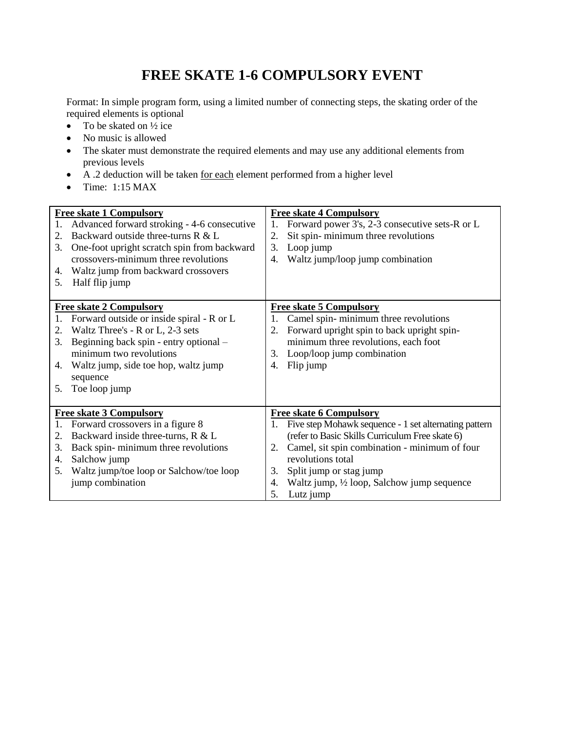# **FREE SKATE 1-6 COMPULSORY EVENT**

Format: In simple program form, using a limited number of connecting steps, the skating order of the required elements is optional

- To be skated on  $\frac{1}{2}$  ice
- No music is allowed
- The skater must demonstrate the required elements and may use any additional elements from previous levels
- $\overrightarrow{A}$ . 2 deduction will be taken <u>for each</u> element performed from a higher level
- $\bullet$  Time: 1:15 MAX

| 1.<br>2. | <b>Free skate 1 Compulsory</b><br>Advanced forward stroking - 4-6 consecutive<br>Backward outside three-turns R & L | 1.<br>2. | <b>Free skate 4 Compulsory</b><br>Forward power 3's, 2-3 consecutive sets-R or L<br>Sit spin-minimum three revolutions |
|----------|---------------------------------------------------------------------------------------------------------------------|----------|------------------------------------------------------------------------------------------------------------------------|
| 3.       | One-foot upright scratch spin from backward<br>crossovers-minimum three revolutions                                 | 3.<br>4. | Loop jump<br>Waltz jump/loop jump combination                                                                          |
| 4.       | Waltz jump from backward crossovers                                                                                 |          |                                                                                                                        |
| 5.       | Half flip jump                                                                                                      |          |                                                                                                                        |
|          |                                                                                                                     |          |                                                                                                                        |
|          | <b>Free skate 2 Compulsory</b>                                                                                      |          | <b>Free skate 5 Compulsory</b>                                                                                         |
| 1.       | Forward outside or inside spiral - R or L                                                                           | 1.       | Camel spin-minimum three revolutions                                                                                   |
| 2.       | Waltz Three's - R or L, 2-3 sets                                                                                    | 2.       | Forward upright spin to back upright spin-                                                                             |
| 3.       | Beginning back spin - entry optional -                                                                              |          | minimum three revolutions, each foot                                                                                   |
|          | minimum two revolutions                                                                                             | 3.       | Loop/loop jump combination                                                                                             |
| 4.       | Waltz jump, side toe hop, waltz jump                                                                                | 4.       | Flip jump                                                                                                              |
|          | sequence                                                                                                            |          |                                                                                                                        |
| 5.       | Toe loop jump                                                                                                       |          |                                                                                                                        |
|          |                                                                                                                     |          |                                                                                                                        |
|          | <b>Free skate 3 Compulsory</b>                                                                                      |          | <b>Free skate 6 Compulsory</b>                                                                                         |
| 1.       | Forward crossovers in a figure 8                                                                                    | 1.       | Five step Mohawk sequence - 1 set alternating pattern                                                                  |
| 2.       | Backward inside three-turns, R & L                                                                                  |          | (refer to Basic Skills Curriculum Free skate 6)                                                                        |
| 3.       | Back spin-minimum three revolutions                                                                                 | 2.       | Camel, sit spin combination - minimum of four                                                                          |
| 4.       | Salchow jump                                                                                                        |          | revolutions total                                                                                                      |
| 5.       | Waltz jump/toe loop or Salchow/toe loop                                                                             | 3.       | Split jump or stag jump                                                                                                |
|          | jump combination                                                                                                    | 4.       | Waltz jump, 1/2 loop, Salchow jump sequence                                                                            |
|          |                                                                                                                     | 5.       | Lutz jump                                                                                                              |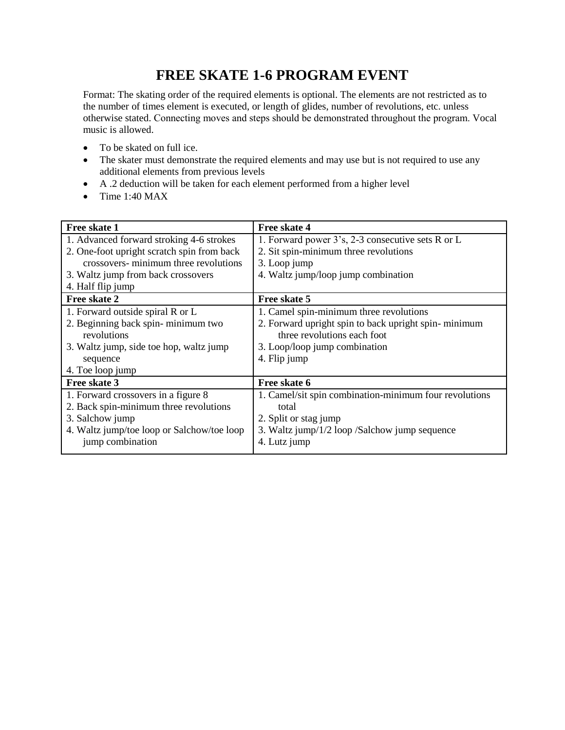# **FREE SKATE 1-6 PROGRAM EVENT**

Format: The skating order of the required elements is optional. The elements are not restricted as to the number of times element is executed, or length of glides, number of revolutions, etc. unless otherwise stated. Connecting moves and steps should be demonstrated throughout the program. Vocal music is allowed.

- To be skated on full ice.
- The skater must demonstrate the required elements and may use but is not required to use any additional elements from previous levels
- A .2 deduction will be taken for each element performed from a higher level
- $\bullet$  Time 1:40 MAX

| Free skate 1                               | Free skate 4                                           |
|--------------------------------------------|--------------------------------------------------------|
| 1. Advanced forward stroking 4-6 strokes   | 1. Forward power 3's, 2-3 consecutive sets R or L      |
| 2. One-foot upright scratch spin from back | 2. Sit spin-minimum three revolutions                  |
| crossovers- minimum three revolutions      | 3. Loop jump                                           |
| 3. Waltz jump from back crossovers         | 4. Waltz jump/loop jump combination                    |
| 4. Half flip jump                          |                                                        |
| Free skate 2                               | Free skate 5                                           |
| 1. Forward outside spiral R or L           | 1. Camel spin-minimum three revolutions                |
| 2. Beginning back spin-minimum two         | 2. Forward upright spin to back upright spin-minimum   |
| revolutions                                | three revolutions each foot                            |
| 3. Waltz jump, side to hop, waltz jump     | 3. Loop/loop jump combination                          |
| sequence                                   | 4. Flip jump                                           |
| 4. Toe loop jump                           |                                                        |
| Free skate 3                               | Free skate 6                                           |
| 1. Forward crossovers in a figure 8        | 1. Camel/sit spin combination-minimum four revolutions |
| 2. Back spin-minimum three revolutions     | total                                                  |
| 3. Salchow jump                            | 2. Split or stag jump                                  |
| 4. Waltz jump/toe loop or Salchow/toe loop | 3. Waltz jump/1/2 loop /Salchow jump sequence          |
| jump combination                           | 4. Lutz jump                                           |
|                                            |                                                        |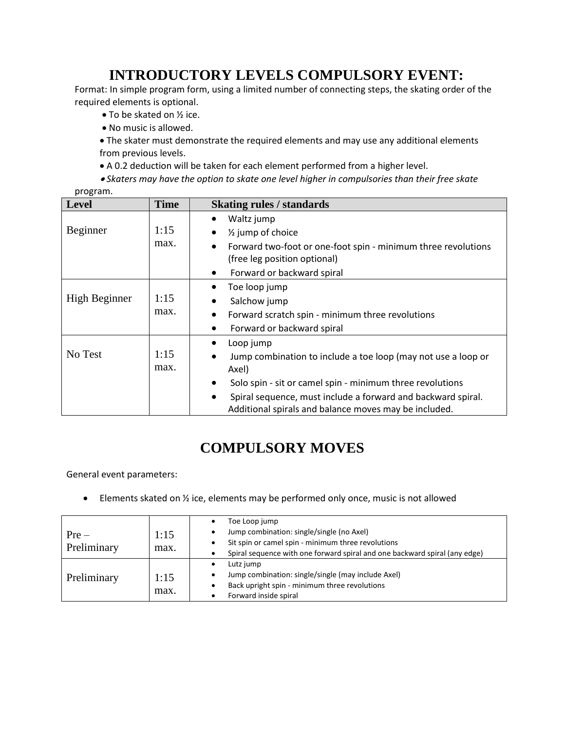# **INTRODUCTORY LEVELS COMPULSORY EVENT:**

Format: In simple program form, using a limited number of connecting steps, the skating order of the required elements is optional.

- To be skated on ½ ice.
- No music is allowed.
- The skater must demonstrate the required elements and may use any additional elements from previous levels.
- A 0.2 deduction will be taken for each element performed from a higher level.
- *Skaters may have the option to skate one level higher in compulsories than their free skate*  program.

| <b>Level</b>  | <b>Time</b> | <b>Skating rules / standards</b>                                           |
|---------------|-------------|----------------------------------------------------------------------------|
|               |             | Waltz jump                                                                 |
| Beginner      | 1:15        | $\frac{1}{2}$ jump of choice<br>$\bullet$                                  |
|               | max.        | Forward two-foot or one-foot spin - minimum three revolutions<br>$\bullet$ |
|               |             | (free leg position optional)                                               |
|               |             | Forward or backward spiral<br>$\bullet$                                    |
|               |             | Toe loop jump                                                              |
| High Beginner | 1:15        | Salchow jump                                                               |
|               | max.        | Forward scratch spin - minimum three revolutions<br>$\bullet$              |
|               |             | Forward or backward spiral                                                 |
|               |             | Loop jump                                                                  |
| No Test       | 1:15        | Jump combination to include a toe loop (may not use a loop or<br>$\bullet$ |
|               | max.        | Axel)                                                                      |
|               |             | Solo spin - sit or camel spin - minimum three revolutions<br>$\bullet$     |
|               |             | Spiral sequence, must include a forward and backward spiral.<br>$\bullet$  |
|               |             | Additional spirals and balance moves may be included.                      |

# **COMPULSORY MOVES**

General event parameters:

Elements skated on ½ ice, elements may be performed only once, music is not allowed

| $Pre-$<br>Preliminary | 1:15<br>max. | Toe Loop jump<br>Jump combination: single/single (no Axel)<br>٠<br>Sit spin or camel spin - minimum three revolutions<br>Spiral sequence with one forward spiral and one backward spiral (any edge) |
|-----------------------|--------------|-----------------------------------------------------------------------------------------------------------------------------------------------------------------------------------------------------|
| Preliminary           | 1:15<br>max. | Lutz jump<br>Jump combination: single/single (may include Axel)<br>٠<br>Back upright spin - minimum three revolutions<br>Forward inside spiral                                                      |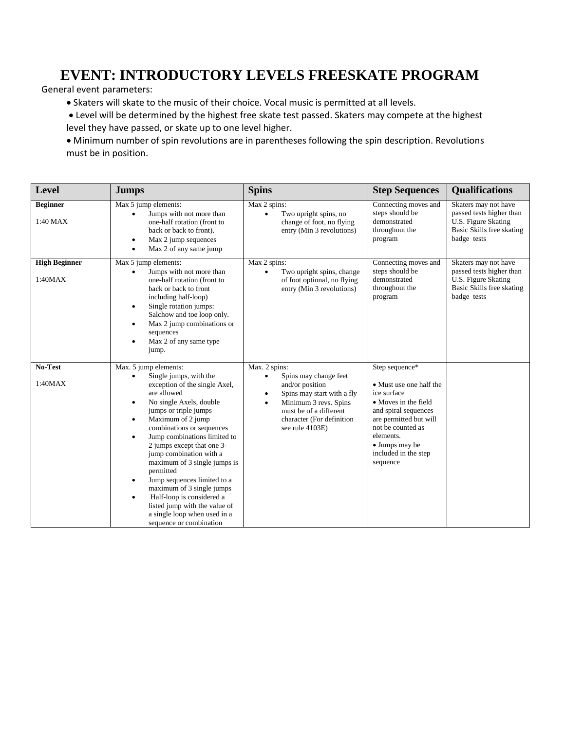## **EVENT: INTRODUCTORY LEVELS FREESKATE PROGRAM**

General event parameters:

- Skaters will skate to the music of their choice. Vocal music is permitted at all levels.
- Level will be determined by the highest free skate test passed. Skaters may compete at the highest level they have passed, or skate up to one level higher.
- Minimum number of spin revolutions are in parentheses following the spin description. Revolutions must be in position.

| <b>Level</b>                    | <b>Jumps</b>                                                                                                                                                                                                                                                                                                                                                                                                                                                                                                                                                                                                   | <b>Spins</b>                                                                                                                                                                                                                      | <b>Step Sequences</b>                                                                                                                                                                                                      | <b>Qualifications</b>                                                                                               |
|---------------------------------|----------------------------------------------------------------------------------------------------------------------------------------------------------------------------------------------------------------------------------------------------------------------------------------------------------------------------------------------------------------------------------------------------------------------------------------------------------------------------------------------------------------------------------------------------------------------------------------------------------------|-----------------------------------------------------------------------------------------------------------------------------------------------------------------------------------------------------------------------------------|----------------------------------------------------------------------------------------------------------------------------------------------------------------------------------------------------------------------------|---------------------------------------------------------------------------------------------------------------------|
| <b>Beginner</b><br>1:40 MAX     | Max 5 jump elements:<br>Jumps with not more than<br>one-half rotation (front to<br>back or back to front).<br>Max 2 jump sequences<br>$\bullet$<br>Max 2 of any same jump                                                                                                                                                                                                                                                                                                                                                                                                                                      | Max 2 spins:<br>Two upright spins, no<br>$\bullet$<br>change of foot, no flying<br>entry (Min 3 revolutions)                                                                                                                      | Connecting moves and<br>steps should be<br>demonstrated<br>throughout the<br>program                                                                                                                                       | Skaters may not have<br>passed tests higher than<br>U.S. Figure Skating<br>Basic Skills free skating<br>badge tests |
| <b>High Beginner</b><br>1:40MAX | Max 5 jump elements:<br>Jumps with not more than<br>one-half rotation (front to<br>back or back to front<br>including half-loop)<br>Single rotation jumps:<br>$\bullet$<br>Salchow and toe loop only.<br>Max 2 jump combinations or<br>$\bullet$<br>sequences<br>Max 2 of any same type<br>$\bullet$<br>jump.                                                                                                                                                                                                                                                                                                  | Max 2 spins:<br>Two upright spins, change<br>$\bullet$<br>of foot optional, no flying<br>entry (Min 3 revolutions)                                                                                                                | Connecting moves and<br>steps should be<br>demonstrated<br>throughout the<br>program                                                                                                                                       | Skaters may not have<br>passed tests higher than<br>U.S. Figure Skating<br>Basic Skills free skating<br>badge tests |
| No-Test<br>1:40MAX              | Max. 5 jump elements:<br>Single jumps, with the<br>$\bullet$<br>exception of the single Axel,<br>are allowed<br>No single Axels, double<br>$\bullet$<br>jumps or triple jumps<br>Maximum of 2 jump<br>$\bullet$<br>combinations or sequences<br>Jump combinations limited to<br>$\bullet$<br>2 jumps except that one 3-<br>jump combination with a<br>maximum of 3 single jumps is<br>permitted<br>Jump sequences limited to a<br>$\bullet$<br>maximum of 3 single jumps<br>Half-loop is considered a<br>$\bullet$<br>listed jump with the value of<br>a single loop when used in a<br>sequence or combination | Max. 2 spins:<br>Spins may change feet<br>$\bullet$<br>and/or position<br>Spins may start with a fly<br>$\bullet$<br>Minimum 3 revs. Spins<br>$\bullet$<br>must be of a different<br>character (For definition<br>see rule 4103E) | Step sequence*<br>• Must use one half the<br>ice surface<br>• Moves in the field<br>and spiral sequences<br>are permitted but will<br>not be counted as<br>elements.<br>• Jumps may be<br>included in the step<br>sequence |                                                                                                                     |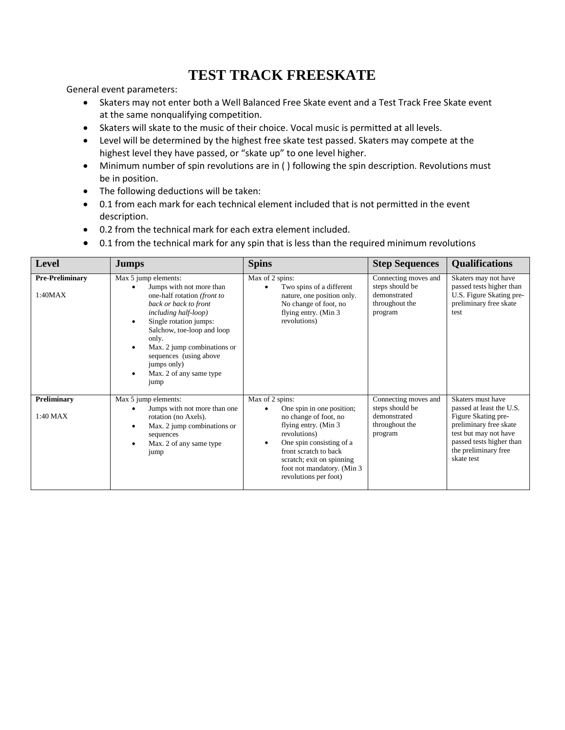## **TEST TRACK FREESKATE**

General event parameters:

- Skaters may not enter both a Well Balanced Free Skate event and a Test Track Free Skate event at the same nonqualifying competition.
- Skaters will skate to the music of their choice. Vocal music is permitted at all levels.
- Level will be determined by the highest free skate test passed. Skaters may compete at the highest level they have passed, or "skate up" to one level higher.
- Minimum number of spin revolutions are in ( ) following the spin description. Revolutions must be in position.
- The following deductions will be taken:
- 0.1 from each mark for each technical element included that is not permitted in the event description.
- 0.2 from the technical mark for each extra element included.
- 0.1 from the technical mark for any spin that is less than the required minimum revolutions

| <b>Level</b>                      | <b>Jumps</b>                                                                                                                                                                                                                                                                                                                                        | <b>Spins</b>                                                                                                                                                                                                                                                          | <b>Step Sequences</b>                                                                | <b>Qualifications</b>                                                                                                                                                                     |
|-----------------------------------|-----------------------------------------------------------------------------------------------------------------------------------------------------------------------------------------------------------------------------------------------------------------------------------------------------------------------------------------------------|-----------------------------------------------------------------------------------------------------------------------------------------------------------------------------------------------------------------------------------------------------------------------|--------------------------------------------------------------------------------------|-------------------------------------------------------------------------------------------------------------------------------------------------------------------------------------------|
| <b>Pre-Preliminary</b><br>1:40MAX | Max 5 jump elements:<br>Jumps with not more than<br>one-half rotation (front to<br>back or back to front<br><i>including half-loop</i> )<br>Single rotation jumps:<br>$\bullet$<br>Salchow, toe-loop and loop<br>only.<br>Max. 2 jump combinations or<br>٠<br>sequences (using above<br>jumps only)<br>Max. 2 of any same type<br>$\bullet$<br>jump | Max of 2 spins:<br>Two spins of a different<br>nature, one position only.<br>No change of foot, no<br>flying entry. (Min 3<br>revolutions)                                                                                                                            | Connecting moves and<br>steps should be<br>demonstrated<br>throughout the<br>program | Skaters may not have<br>passed tests higher than<br>U.S. Figure Skating pre-<br>preliminary free skate<br>test                                                                            |
| Preliminary<br>$1:40$ MAX         | Max 5 jump elements:<br>Jumps with not more than one<br>rotation (no Axels).<br>Max. 2 jump combinations or<br>$\bullet$<br>sequences<br>Max. 2 of any same type<br>$\bullet$<br>jump                                                                                                                                                               | Max of 2 spins:<br>One spin in one position;<br>no change of foot, no<br>flying entry. (Min 3)<br>revolutions)<br>One spin consisting of a<br>$\bullet$<br>front scratch to back<br>scratch; exit on spinning<br>foot not mandatory. (Min 3)<br>revolutions per foot) | Connecting moves and<br>steps should be<br>demonstrated<br>throughout the<br>program | Skaters must have<br>passed at least the U.S.<br>Figure Skating pre-<br>preliminary free skate<br>test but may not have<br>passed tests higher than<br>the preliminary free<br>skate test |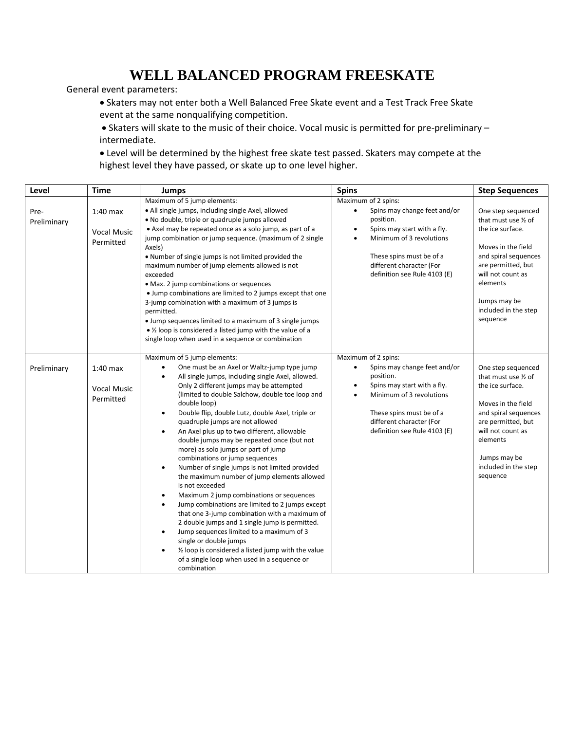## **WELL BALANCED PROGRAM FREESKATE**

General event parameters:

- Skaters may not enter both a Well Balanced Free Skate event and a Test Track Free Skate event at the same nonqualifying competition.
- Skaters will skate to the music of their choice. Vocal music is permitted for pre-preliminary intermediate.

 Level will be determined by the highest free skate test passed. Skaters may compete at the highest level they have passed, or skate up to one level higher.

| Level               | <b>Time</b>                                   | <b>Jumps</b>                                                                                                                                                                                                                                                                                                                                                                                                                                                                                                                                                                                                                                                                                                                                                                                                                                                                                                                                                                                                                                                                                                                        | <b>Spins</b>                                                                                                                                                                                                                                  | <b>Step Sequences</b>                                                                                                                                                                                                   |
|---------------------|-----------------------------------------------|-------------------------------------------------------------------------------------------------------------------------------------------------------------------------------------------------------------------------------------------------------------------------------------------------------------------------------------------------------------------------------------------------------------------------------------------------------------------------------------------------------------------------------------------------------------------------------------------------------------------------------------------------------------------------------------------------------------------------------------------------------------------------------------------------------------------------------------------------------------------------------------------------------------------------------------------------------------------------------------------------------------------------------------------------------------------------------------------------------------------------------------|-----------------------------------------------------------------------------------------------------------------------------------------------------------------------------------------------------------------------------------------------|-------------------------------------------------------------------------------------------------------------------------------------------------------------------------------------------------------------------------|
| Pre-<br>Preliminary | $1:40$ max<br><b>Vocal Music</b><br>Permitted | Maximum of 5 jump elements:<br>· All single jumps, including single Axel, allowed<br>. No double, triple or quadruple jumps allowed<br>• Axel may be repeated once as a solo jump, as part of a<br>jump combination or jump sequence. (maximum of 2 single<br>Axels)<br>. Number of single jumps is not limited provided the<br>maximum number of jump elements allowed is not<br>exceeded<br>• Max. 2 jump combinations or sequences<br>• Jump combinations are limited to 2 jumps except that one<br>3-jump combination with a maximum of 3 jumps is<br>permitted.<br>• Jump sequences limited to a maximum of 3 single jumps<br>• 1/2 loop is considered a listed jump with the value of a<br>single loop when used in a sequence or combination                                                                                                                                                                                                                                                                                                                                                                                 | Maximum of 2 spins:<br>Spins may change feet and/or<br>position.<br>Spins may start with a fly.<br>$\bullet$<br>Minimum of 3 revolutions<br>These spins must be of a<br>different character (For<br>definition see Rule 4103 (E)              | One step sequenced<br>that must use 1/2 of<br>the ice surface.<br>Moves in the field<br>and spiral sequences<br>are permitted, but<br>will not count as<br>elements<br>Jumps may be<br>included in the step<br>sequence |
| Preliminary         | $1:40$ max<br><b>Vocal Music</b><br>Permitted | Maximum of 5 jump elements:<br>One must be an Axel or Waltz-jump type jump<br>All single jumps, including single Axel, allowed.<br>$\bullet$<br>Only 2 different jumps may be attempted<br>(limited to double Salchow, double toe loop and<br>double loop)<br>Double flip, double Lutz, double Axel, triple or<br>$\bullet$<br>quadruple jumps are not allowed<br>An Axel plus up to two different, allowable<br>$\bullet$<br>double jumps may be repeated once (but not<br>more) as solo jumps or part of jump<br>combinations or jump sequences<br>Number of single jumps is not limited provided<br>$\bullet$<br>the maximum number of jump elements allowed<br>is not exceeded<br>Maximum 2 jump combinations or sequences<br>$\bullet$<br>Jump combinations are limited to 2 jumps except<br>$\bullet$<br>that one 3-jump combination with a maximum of<br>2 double jumps and 1 single jump is permitted.<br>Jump sequences limited to a maximum of 3<br>$\bullet$<br>single or double jumps<br>1/2 loop is considered a listed jump with the value<br>$\bullet$<br>of a single loop when used in a sequence or<br>combination | Maximum of 2 spins:<br>Spins may change feet and/or<br>$\bullet$<br>position.<br>Spins may start with a fly.<br>$\bullet$<br>Minimum of 3 revolutions<br>These spins must be of a<br>different character (For<br>definition see Rule 4103 (E) | One step sequenced<br>that must use 1/2 of<br>the ice surface.<br>Moves in the field<br>and spiral sequences<br>are permitted, but<br>will not count as<br>elements<br>Jumps may be<br>included in the step<br>sequence |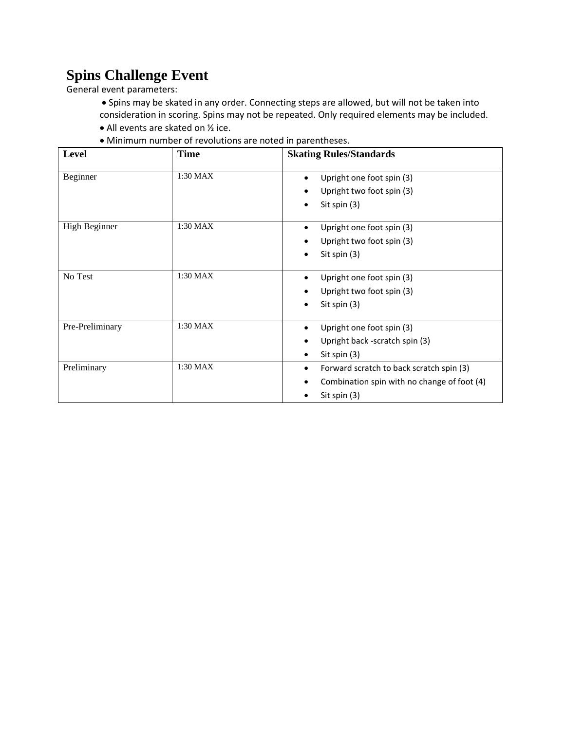# **Spins Challenge Event**

General event parameters:

 Spins may be skated in any order. Connecting steps are allowed, but will not be taken into consideration in scoring. Spins may not be repeated. Only required elements may be included.

- All events are skated on ½ ice.
- Minimum number of revolutions are noted in parentheses.

| Level                | <b>Time</b> | <b>Skating Rules/Standards</b>                         |
|----------------------|-------------|--------------------------------------------------------|
| Beginner             | 1:30 MAX    | Upright one foot spin (3)<br>Upright two foot spin (3) |
|                      |             | Sit spin (3)                                           |
| <b>High Beginner</b> | 1:30 MAX    | Upright one foot spin (3)                              |
|                      |             | Upright two foot spin (3)                              |
|                      |             | Sit spin (3)<br>٠                                      |
| No Test              | $1:30$ MAX  | Upright one foot spin (3)<br>٠                         |
|                      |             | Upright two foot spin (3)                              |
|                      |             | Sit spin (3)                                           |
| Pre-Preliminary      | 1:30 MAX    | Upright one foot spin (3)                              |
|                      |             | Upright back -scratch spin (3)                         |
|                      |             | Sit spin $(3)$                                         |
| Preliminary          | 1:30 MAX    | Forward scratch to back scratch spin (3)               |
|                      |             | Combination spin with no change of foot (4)            |
|                      |             | Sit spin (3)                                           |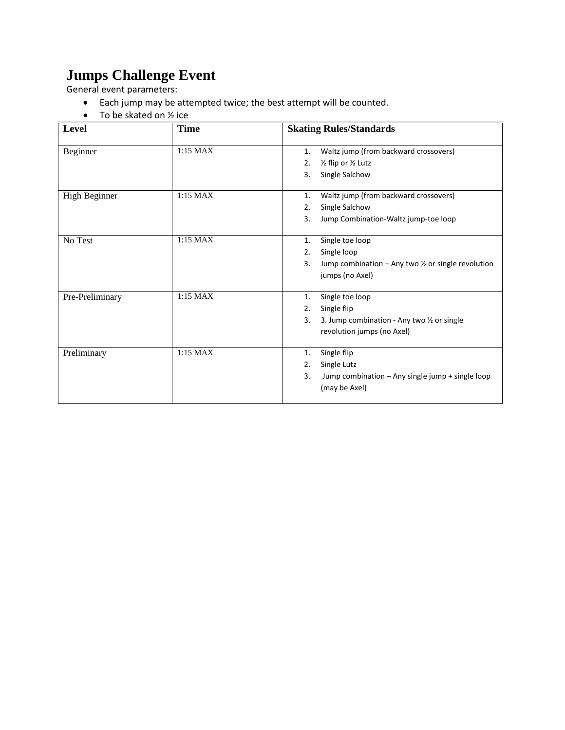# **Jumps Challenge Event**

General event parameters:

- Each jump may be attempted twice; the best attempt will be counted.
- $\bullet$  To be skated on  $\frac{1}{2}$  ice

| Level           | <b>Time</b> | <b>Skating Rules/Standards</b>                                                                                                         |
|-----------------|-------------|----------------------------------------------------------------------------------------------------------------------------------------|
| Beginner        | 1:15 MAX    | Waltz jump (from backward crossovers)<br>1.<br>1/2 flip or 1/2 Lutz<br>2.<br>Single Salchow<br>3.                                      |
| High Beginner   | $1:15$ MAX  | Waltz jump (from backward crossovers)<br>1.<br>Single Salchow<br>2.<br>Jump Combination-Waltz jump-toe loop<br>3.                      |
| No Test         | $1:15$ MAX  | Single toe loop<br>1.<br>Single loop<br>2.<br>Jump combination $-$ Any two $\frac{1}{2}$ or single revolution<br>3.<br>jumps (no Axel) |
| Pre-Preliminary | $1:15$ MAX  | Single toe loop<br>1.<br>Single flip<br>2.<br>3. Jump combination - Any two 1/2 or single<br>3.<br>revolution jumps (no Axel)          |
| Preliminary     | 1:15 MAX    | Single flip<br>1.<br>Single Lutz<br>2.<br>Jump combination - Any single jump + single loop<br>3.<br>(may be Axel)                      |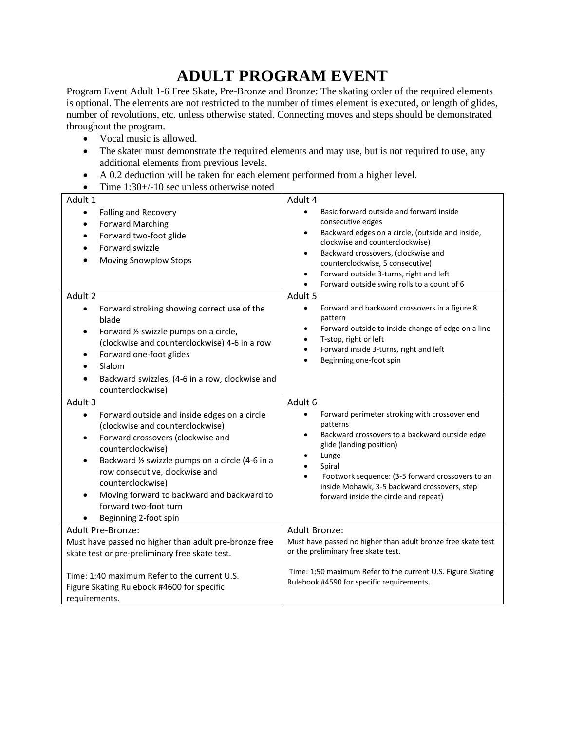# **ADULT PROGRAM EVENT**

Program Event Adult 1-6 Free Skate, Pre-Bronze and Bronze: The skating order of the required elements is optional. The elements are not restricted to the number of times element is executed, or length of glides, number of revolutions, etc. unless otherwise stated. Connecting moves and steps should be demonstrated throughout the program.

- Vocal music is allowed.
- The skater must demonstrate the required elements and may use, but is not required to use, any additional elements from previous levels.
- A 0.2 deduction will be taken for each element performed from a higher level.
- Time  $1:30+/10$  sec unless otherwise noted

| Adult 1                                                                                                                                                                                                                                                                                                                                                                                                   | Adult 4                                                                                                                                                                                                                                                                                                                                                                       |
|-----------------------------------------------------------------------------------------------------------------------------------------------------------------------------------------------------------------------------------------------------------------------------------------------------------------------------------------------------------------------------------------------------------|-------------------------------------------------------------------------------------------------------------------------------------------------------------------------------------------------------------------------------------------------------------------------------------------------------------------------------------------------------------------------------|
| Falling and Recovery<br>$\bullet$<br><b>Forward Marching</b><br>$\bullet$<br>Forward two-foot glide<br>$\bullet$<br>Forward swizzle<br><b>Moving Snowplow Stops</b>                                                                                                                                                                                                                                       | Basic forward outside and forward inside<br>$\bullet$<br>consecutive edges<br>Backward edges on a circle, (outside and inside,<br>$\bullet$<br>clockwise and counterclockwise)<br>Backward crossovers, (clockwise and<br>$\bullet$<br>counterclockwise, 5 consecutive)<br>Forward outside 3-turns, right and left<br>$\bullet$<br>Forward outside swing rolls to a count of 6 |
| Adult 2                                                                                                                                                                                                                                                                                                                                                                                                   | Adult 5                                                                                                                                                                                                                                                                                                                                                                       |
| Forward stroking showing correct use of the<br>$\bullet$<br>blade<br>Forward 1/2 swizzle pumps on a circle,<br>$\bullet$<br>(clockwise and counterclockwise) 4-6 in a row<br>Forward one-foot glides<br>$\bullet$<br>Slalom<br>Backward swizzles, (4-6 in a row, clockwise and<br>counterclockwise)                                                                                                       | Forward and backward crossovers in a figure 8<br>$\bullet$<br>pattern<br>Forward outside to inside change of edge on a line<br>$\bullet$<br>T-stop, right or left<br>$\bullet$<br>Forward inside 3-turns, right and left<br>$\bullet$<br>Beginning one-foot spin<br>$\bullet$                                                                                                 |
| Adult 3                                                                                                                                                                                                                                                                                                                                                                                                   | Adult 6                                                                                                                                                                                                                                                                                                                                                                       |
| Forward outside and inside edges on a circle<br>$\bullet$<br>(clockwise and counterclockwise)<br>Forward crossovers (clockwise and<br>$\bullet$<br>counterclockwise)<br>Backward 1/2 swizzle pumps on a circle (4-6 in a<br>$\bullet$<br>row consecutive, clockwise and<br>counterclockwise)<br>Moving forward to backward and backward to<br>$\bullet$<br>forward two-foot turn<br>Beginning 2-foot spin | Forward perimeter stroking with crossover end<br>patterns<br>Backward crossovers to a backward outside edge<br>$\bullet$<br>glide (landing position)<br>Lunge<br>Spiral<br>Footwork sequence: (3-5 forward crossovers to an<br>inside Mohawk, 3-5 backward crossovers, step<br>forward inside the circle and repeat)                                                          |
| <b>Adult Pre-Bronze:</b>                                                                                                                                                                                                                                                                                                                                                                                  | Adult Bronze:                                                                                                                                                                                                                                                                                                                                                                 |
| Must have passed no higher than adult pre-bronze free<br>skate test or pre-preliminary free skate test.                                                                                                                                                                                                                                                                                                   | Must have passed no higher than adult bronze free skate test<br>or the preliminary free skate test.                                                                                                                                                                                                                                                                           |
| Time: 1:40 maximum Refer to the current U.S.<br>Figure Skating Rulebook #4600 for specific<br>requirements.                                                                                                                                                                                                                                                                                               | Time: 1:50 maximum Refer to the current U.S. Figure Skating<br>Rulebook #4590 for specific requirements.                                                                                                                                                                                                                                                                      |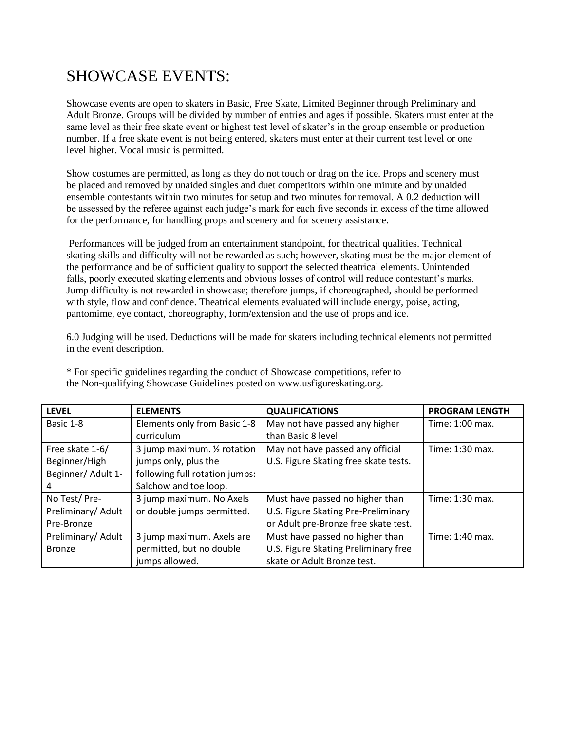# SHOWCASE EVENTS:

Showcase events are open to skaters in Basic, Free Skate, Limited Beginner through Preliminary and Adult Bronze. Groups will be divided by number of entries and ages if possible. Skaters must enter at the same level as their free skate event or highest test level of skater's in the group ensemble or production number. If a free skate event is not being entered, skaters must enter at their current test level or one level higher. Vocal music is permitted.

Show costumes are permitted, as long as they do not touch or drag on the ice. Props and scenery must be placed and removed by unaided singles and duet competitors within one minute and by unaided ensemble contestants within two minutes for setup and two minutes for removal. A 0.2 deduction will be assessed by the referee against each judge's mark for each five seconds in excess of the time allowed for the performance, for handling props and scenery and for scenery assistance.

Performances will be judged from an entertainment standpoint, for theatrical qualities. Technical skating skills and difficulty will not be rewarded as such; however, skating must be the major element of the performance and be of sufficient quality to support the selected theatrical elements. Unintended falls, poorly executed skating elements and obvious losses of control will reduce contestant's marks. Jump difficulty is not rewarded in showcase; therefore jumps, if choreographed, should be performed with style, flow and confidence. Theatrical elements evaluated will include energy, poise, acting, pantomime, eye contact, choreography, form/extension and the use of props and ice.

6.0 Judging will be used. Deductions will be made for skaters including technical elements not permitted in the event description.

| <b>LEVEL</b>       | <b>ELEMENTS</b>                | <b>QUALIFICATIONS</b>                 | <b>PROGRAM LENGTH</b> |
|--------------------|--------------------------------|---------------------------------------|-----------------------|
| Basic 1-8          | Elements only from Basic 1-8   | May not have passed any higher        | Time: 1:00 max.       |
|                    | curriculum                     | than Basic 8 level                    |                       |
| Free skate 1-6/    | 3 jump maximum. 1/2 rotation   | May not have passed any official      | Time: 1:30 max.       |
| Beginner/High      | jumps only, plus the           | U.S. Figure Skating free skate tests. |                       |
| Beginner/ Adult 1- | following full rotation jumps: |                                       |                       |
|                    | Salchow and toe loop.          |                                       |                       |
| No Test/Pre-       | 3 jump maximum. No Axels       | Must have passed no higher than       | Time: 1:30 max.       |
| Preliminary/ Adult | or double jumps permitted.     | U.S. Figure Skating Pre-Preliminary   |                       |
| Pre-Bronze         |                                | or Adult pre-Bronze free skate test.  |                       |
| Preliminary/ Adult | 3 jump maximum. Axels are      | Must have passed no higher than       | Time: 1:40 max.       |
| <b>Bronze</b>      | permitted, but no double       | U.S. Figure Skating Preliminary free  |                       |
|                    | jumps allowed.                 | skate or Adult Bronze test.           |                       |

\* For specific guidelines regarding the conduct of Showcase competitions, refer to the Non-qualifying Showcase Guidelines posted on www.usfigureskating.org.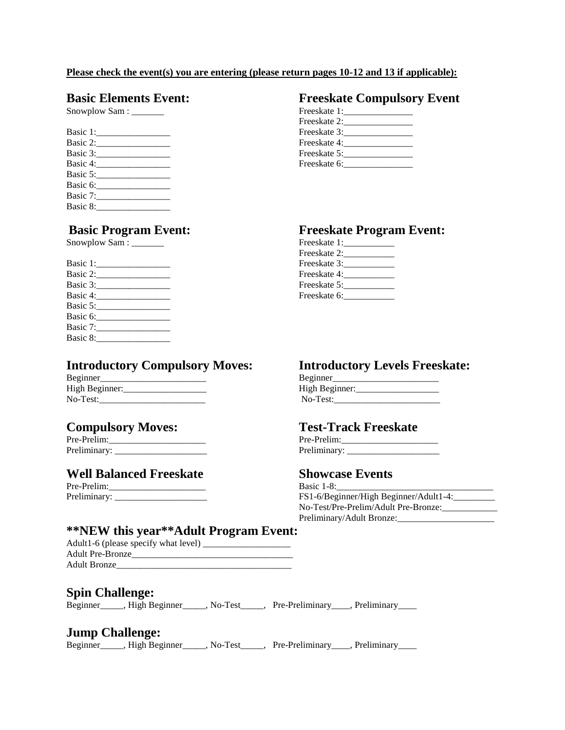### **Please check the event(s) you are entering (please return pages 10-12 and 13 if applicable):**

|          | Freeskate 3: |
|----------|--------------|
| Basic 2: | Freeskate 4: |
|          | Freeskate 5: |
| Basic 4: | Freeskate 6: |
| Basic 5: |              |
| Basic 6: |              |
| Basic 7: |              |
| Basic 8: |              |

Snowplow Sam : \_\_\_\_\_\_\_ Freeskate 1:\_\_\_\_\_\_\_\_\_\_\_

| Basic 1:                                                                                                                         | Freeskate 3: |
|----------------------------------------------------------------------------------------------------------------------------------|--------------|
| Basic 2: Samuel Communications                                                                                                   | Freeskate 4: |
| Basic 3:                                                                                                                         | Freeskate 5: |
| Basic 4:                                                                                                                         | Freeskate 6: |
| Basic 5:                                                                                                                         |              |
| Basic 6:<br><u> 1980 - Jan Barbarat, prima prima prima prima prima prima prima prima prima prima prima prima prima prima pri</u> |              |
| Basic 7:                                                                                                                         |              |
| Basic 8:                                                                                                                         |              |

## **Introductory Compulsory Moves: Introductory Levels Freeskate:**

| Beginner       | <b>Beginner</b> |
|----------------|-----------------|
| High Beginner: | High Beginner:  |
| No-Test:       | No-Test:        |

Pre-Prelim:\_\_\_\_\_\_\_\_\_\_\_\_\_\_\_\_\_\_\_\_\_ Pre-Prelim:\_\_\_\_\_\_\_\_\_\_\_\_\_\_\_\_\_\_\_\_\_ Preliminary:

## **Well Balanced Freeskate Showcase Events**

## **Basic Elements Event: Freeskate Compulsory Event**

| Snowplow Sam: | Freeskate 1: |
|---------------|--------------|
|               | Freeskate 2: |
| Basic 1:      | Freeskate 3: |
| Basic 2:      | Freeskate 4: |
| Basic 3:      | Freeskate 5: |
| Basic 4:      | Freeskate 6: |

## **Basic Program Event: Freeskate Program Event:**

| Snowplow Sam : _______ | Freeskate 1: |
|------------------------|--------------|
|                        | Freeskate 2: |
| Basic 1:               | Freeskate 3: |
| Basic 2:               | Freeskate 4: |
| Basic 3:               | Freeskate 5: |
| Basic 4:               | Freeskate 6: |

| Beginner       |  |
|----------------|--|
| High Beginner: |  |
| No-Test:       |  |

## **Compulsory Moves: Test-Track Freeskate**

| Pre-Prelim:  |  |
|--------------|--|
| Preliminary: |  |

| Pre-Prelim:    | Basic $1-8$ :                          |
|----------------|----------------------------------------|
| Preliminary: _ | FS1-6/Beginner/High Beginner/Adult1-4: |
|                | No-Test/Pre-Prelim/Adult Pre-Bronze:   |
|                | Preliminary/Adult Bronze:              |

## **\*\*NEW this year\*\*Adult Program Event:**

| Adult1-6 (please specify what level) |
|--------------------------------------|
| <b>Adult Pre-Bronze</b>              |
| <b>Adult Bronze</b>                  |

## **Spin Challenge:**

| Beginner <sub>_____</sub> , High Beginner_ |  | No-Test | Pre-Preliminary Preliminary |  |
|--------------------------------------------|--|---------|-----------------------------|--|
|--------------------------------------------|--|---------|-----------------------------|--|

## **Jump Challenge:**

Beginner\_\_\_\_, High Beginner\_\_\_\_, No-Test\_\_\_\_, Pre-Preliminary\_\_\_, Preliminary\_\_\_\_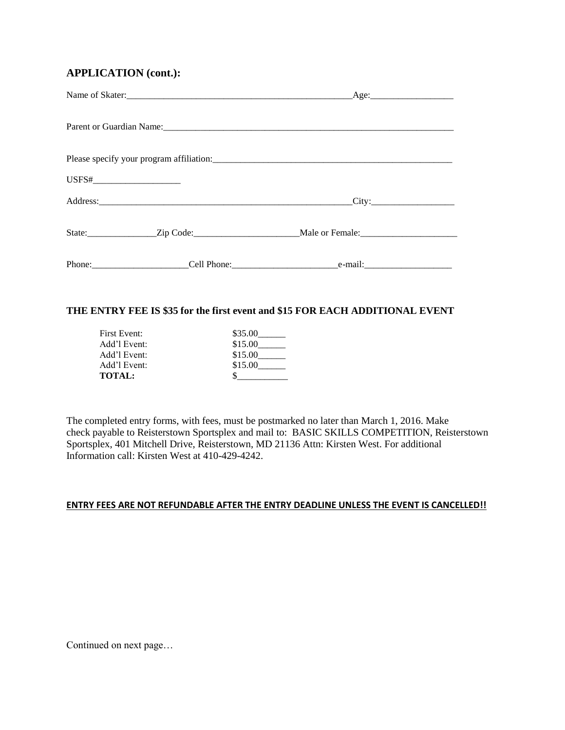## **APPLICATION (cont.):**

|                                | Please specify your program affiliation: |  |
|--------------------------------|------------------------------------------|--|
| USFS#_________________________ |                                          |  |
|                                |                                          |  |
|                                |                                          |  |
|                                |                                          |  |

## **THE ENTRY FEE IS \$35 for the first event and \$15 FOR EACH ADDITIONAL EVENT**

| First Event:  | \$35.00 |
|---------------|---------|
| Add'l Event:  | \$15.00 |
| Add'l Event:  | \$15.00 |
| Add'l Event:  | \$15.00 |
| <b>TOTAL:</b> |         |

The completed entry forms, with fees, must be postmarked no later than March 1, 2016. Make check payable to Reisterstown Sportsplex and mail to: BASIC SKILLS COMPETITION, Reisterstown Sportsplex, 401 Mitchell Drive, Reisterstown, MD 21136 Attn: Kirsten West. For additional Information call: Kirsten West at 410-429-4242.

### **ENTRY FEES ARE NOT REFUNDABLE AFTER THE ENTRY DEADLINE UNLESS THE EVENT IS CANCELLED!!**

Continued on next page…